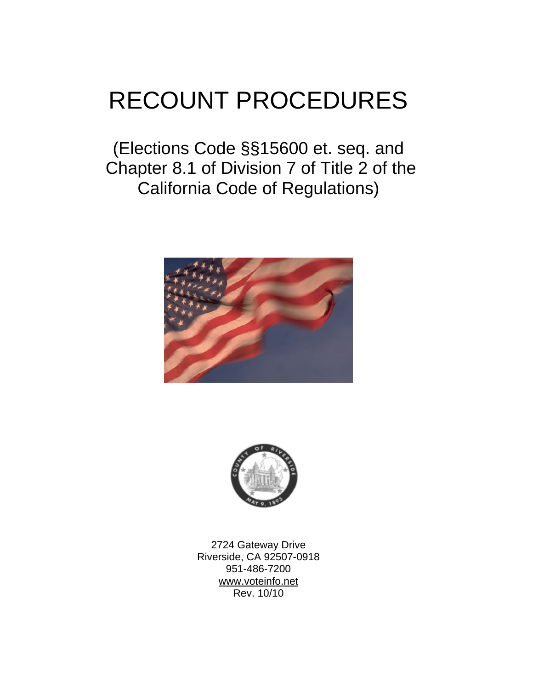# RECOUNT PROCEDURES

(Elections Code §§15600 et. seq. and Chapter 8.1 of Division 7 of Title 2 of the California Code of Regulations)





2724 Gateway Drive Riverside, CA 92507-0918 951-486-7200 www.voteinfo.net Rev. 10/10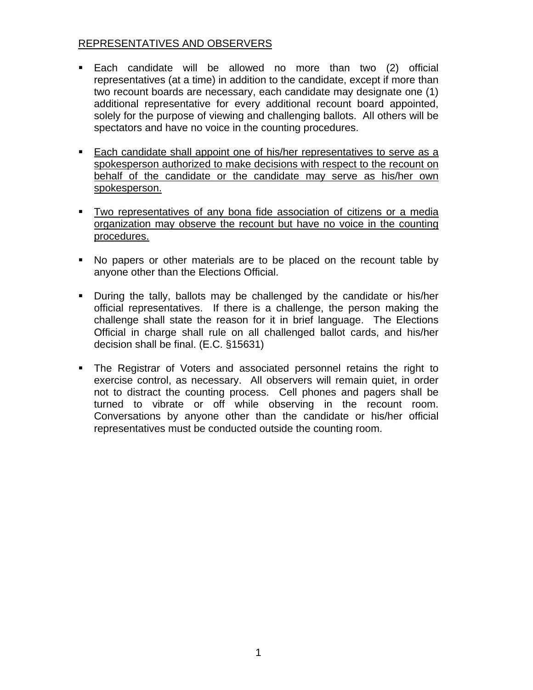## REPRESENTATIVES AND OBSERVERS

- Each candidate will be allowed no more than two (2) official representatives (at a time) in addition to the candidate, except if more than two recount boards are necessary, each candidate may designate one (1) additional representative for every additional recount board appointed, solely for the purpose of viewing and challenging ballots. All others will be spectators and have no voice in the counting procedures.
- Each candidate shall appoint one of his/her representatives to serve as a spokesperson authorized to make decisions with respect to the recount on behalf of the candidate or the candidate may serve as his/her own spokesperson.
- Two representatives of any bona fide association of citizens or a media organization may observe the recount but have no voice in the counting procedures.
- No papers or other materials are to be placed on the recount table by anyone other than the Elections Official.
- During the tally, ballots may be challenged by the candidate or his/her official representatives. If there is a challenge, the person making the challenge shall state the reason for it in brief language. The Elections Official in charge shall rule on all challenged ballot cards, and his/her decision shall be final. (E.C. §15631)
- The Registrar of Voters and associated personnel retains the right to exercise control, as necessary. All observers will remain quiet, in order not to distract the counting process. Cell phones and pagers shall be turned to vibrate or off while observing in the recount room. Conversations by anyone other than the candidate or his/her official representatives must be conducted outside the counting room.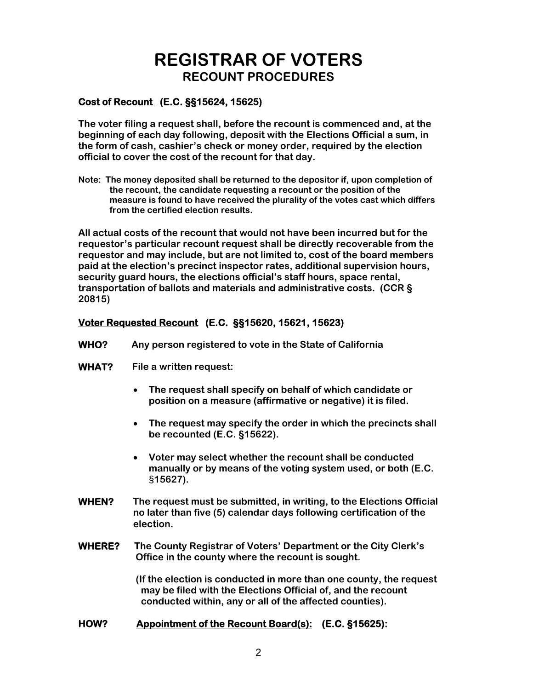## **REGISTRAR OF VOTERS RECOUNT PROCEDURES**

#### **Cost of Recount (E.C. §§15624, 15625)**

**The voter filing a request shall, before the recount is commenced and, at the beginning of each day following, deposit with the Elections Official a sum, in the form of cash, cashier's check or money order, required by the election official to cover the cost of the recount for that day.** 

**Note: The money deposited shall be returned to the depositor if, upon completion of the recount, the candidate requesting a recount or the position of the measure is found to have received the plurality of the votes cast which differs from the certified election results.** 

**All actual costs of the recount that would not have been incurred but for the requestor's particular recount request shall be directly recoverable from the requestor and may include, but are not limited to, cost of the board members paid at the election's precinct inspector rates, additional supervision hours, security guard hours, the elections official's staff hours, space rental, transportation of ballots and materials and administrative costs. (CCR § 20815)** 

#### **Voter Requested Recount (E.C. §§15620, 15621, 15623)**

- **WHO? Any person registered to vote in the State of California**
- **WHAT? File a written request:** 
	- **The request shall specify on behalf of which candidate or position on a measure (affirmative or negative) it is filed.**
	- **The request may specify the order in which the precincts shall be recounted (E.C. §15622).**
	- **Voter may select whether the recount shall be conducted manually or by means of the voting system used, or both (E.C.**  §**15627).**
- **WHEN? The request must be submitted, in writing, to the Elections Official no later than five (5) calendar days following certification of the election.**
- **WHERE? The County Registrar of Voters' Department or the City Clerk's Office in the county where the recount is sought.**

 **(If the election is conducted in more than one county, the request may be filed with the Elections Official of, and the recount conducted within, any or all of the affected counties).** 

#### **HOW? Appointment of the Recount Board(s): (E.C. §15625):**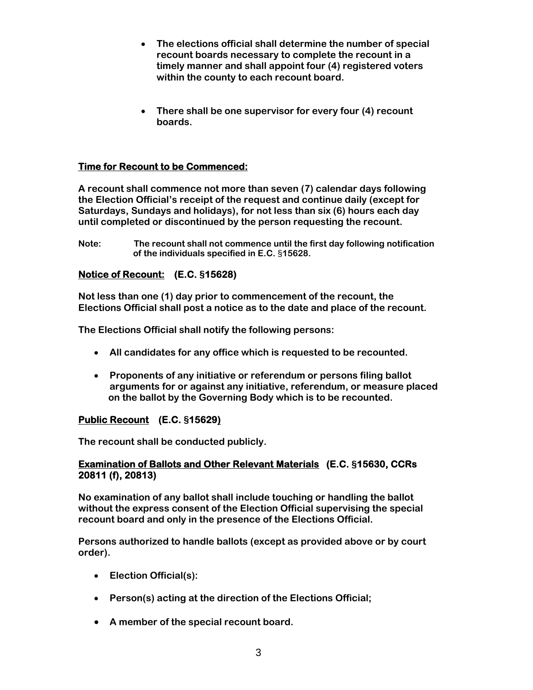- **The elections official shall determine the number of special recount boards necessary to complete the recount in a timely manner and shall appoint four (4) registered voters within the county to each recount board.**
- **There shall be one supervisor for every four (4) recount boards.**

## **Time for Recount to be Commenced:**

**A recount shall commence not more than seven (7) calendar days following the Election Official's receipt of the request and continue daily (except for Saturdays, Sundays and holidays), for not less than six (6) hours each day until completed or discontinued by the person requesting the recount.** 

**Note: The recount shall not commence until the first day following notification of the individuals specified in E.C.** §**15628.** 

#### **Notice of Recount: (E.C. §15628)**

**Not less than one (1) day prior to commencement of the recount, the Elections Official shall post a notice as to the date and place of the recount.** 

**The Elections Official shall notify the following persons:** 

- **All candidates for any office which is requested to be recounted.**
- **Proponents of any initiative or referendum or persons filing ballot arguments for or against any initiative, referendum, or measure placed on the ballot by the Governing Body which is to be recounted.**

#### **Public Recount (E.C. §15629)**

**The recount shall be conducted publicly.** 

#### **Examination of Ballots and Other Relevant Materials (E.C. §15630, CCRs 20811 (f), 20813)**

**No examination of any ballot shall include touching or handling the ballot without the express consent of the Election Official supervising the special recount board and only in the presence of the Elections Official.** 

**Persons authorized to handle ballots (except as provided above or by court order).** 

- **Election Official(s):**
- **Person(s) acting at the direction of the Elections Official;**
- **A member of the special recount board.**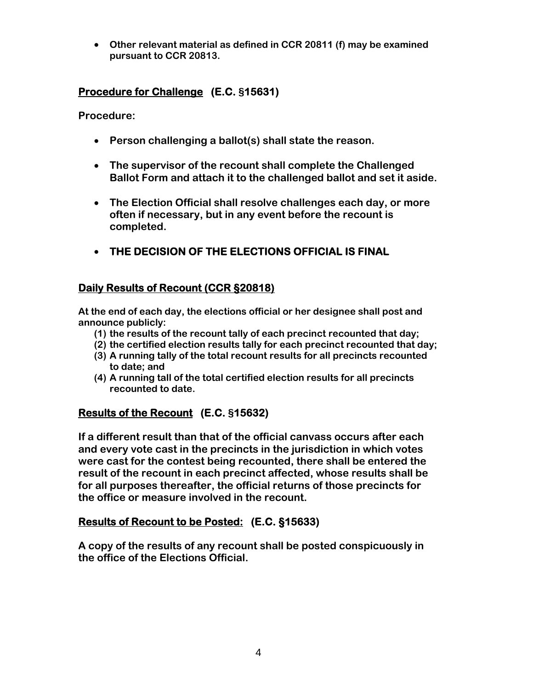• **Other relevant material as defined in CCR 20811 (f) may be examined pursuant to CCR 20813.** 

## **Procedure for Challenge (E.C. §15631)**

**Procedure:** 

- **Person challenging a ballot(s) shall state the reason.**
- **The supervisor of the recount shall complete the Challenged Ballot Form and attach it to the challenged ballot and set it aside.**
- **The Election Official shall resolve challenges each day, or more often if necessary, but in any event before the recount is completed.**
- **THE DECISION OF THE ELECTIONS OFFICIAL IS FINAL**

## **Daily Results of Recount (CCR §20818)**

**At the end of each day, the elections official or her designee shall post and announce publicly:** 

- **(1) the results of the recount tally of each precinct recounted that day;**
- **(2) the certified election results tally for each precinct recounted that day;**
- **(3) A running tally of the total recount results for all precincts recounted to date; and**
- **(4) A running tall of the total certified election results for all precincts recounted to date.**

## **Results of the Recount (E.C. §15632)**

**If a different result than that of the official canvass occurs after each and every vote cast in the precincts in the jurisdiction in which votes were cast for the contest being recounted, there shall be entered the result of the recount in each precinct affected, whose results shall be for all purposes thereafter, the official returns of those precincts for the office or measure involved in the recount.** 

## **Results of Recount to be Posted: (E.C. §15633)**

**A copy of the results of any recount shall be posted conspicuously in the office of the Elections Official.**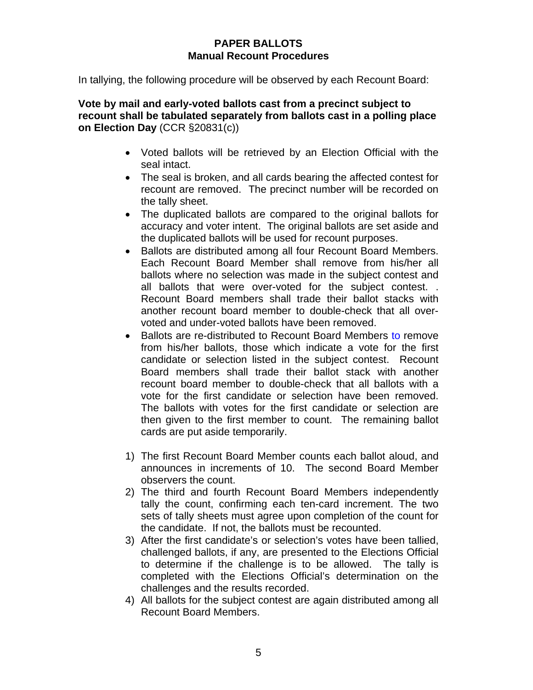## **PAPER BALLOTS Manual Recount Procedures**

In tallying, the following procedure will be observed by each Recount Board:

**Vote by mail and early-voted ballots cast from a precinct subject to recount shall be tabulated separately from ballots cast in a polling place on Election Day** (CCR §20831(c))

- Voted ballots will be retrieved by an Election Official with the seal intact.
- The seal is broken, and all cards bearing the affected contest for recount are removed. The precinct number will be recorded on the tally sheet.
- The duplicated ballots are compared to the original ballots for accuracy and voter intent. The original ballots are set aside and the duplicated ballots will be used for recount purposes.
- Ballots are distributed among all four Recount Board Members. Each Recount Board Member shall remove from his/her all ballots where no selection was made in the subject contest and all ballots that were over-voted for the subject contest. . Recount Board members shall trade their ballot stacks with another recount board member to double-check that all overvoted and under-voted ballots have been removed.
- Ballots are re-distributed to Recount Board Members to remove from his/her ballots, those which indicate a vote for the first candidate or selection listed in the subject contest. Recount Board members shall trade their ballot stack with another recount board member to double-check that all ballots with a vote for the first candidate or selection have been removed. The ballots with votes for the first candidate or selection are then given to the first member to count. The remaining ballot cards are put aside temporarily.
- 1) The first Recount Board Member counts each ballot aloud, and announces in increments of 10. The second Board Member observers the count.
- 2) The third and fourth Recount Board Members independently tally the count, confirming each ten-card increment. The two sets of tally sheets must agree upon completion of the count for the candidate. If not, the ballots must be recounted.
- 3) After the first candidate's or selection's votes have been tallied, challenged ballots, if any, are presented to the Elections Official to determine if the challenge is to be allowed. The tally is completed with the Elections Official's determination on the challenges and the results recorded.
- 4) All ballots for the subject contest are again distributed among all Recount Board Members.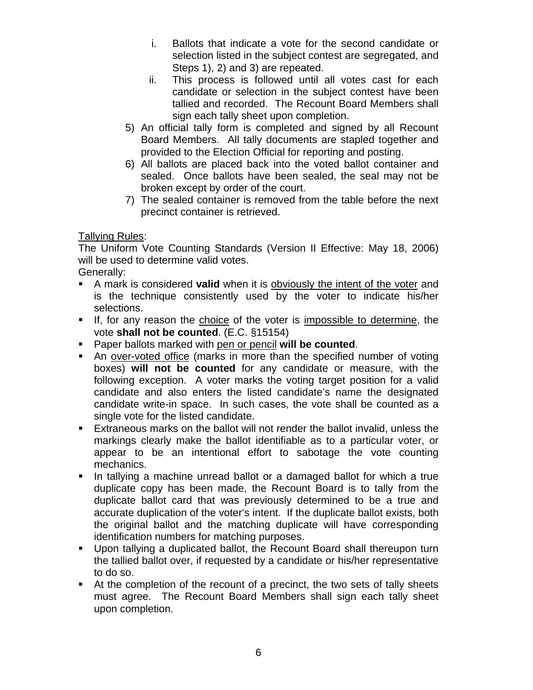- i. Ballots that indicate a vote for the second candidate or selection listed in the subject contest are segregated, and Steps 1), 2) and 3) are repeated.
- ii. This process is followed until all votes cast for each candidate or selection in the subject contest have been tallied and recorded. The Recount Board Members shall sign each tally sheet upon completion.
- 5) An official tally form is completed and signed by all Recount Board Members. All tally documents are stapled together and provided to the Election Official for reporting and posting.
- 6) All ballots are placed back into the voted ballot container and sealed. Once ballots have been sealed, the seal may not be broken except by order of the court.
- 7) The sealed container is removed from the table before the next precinct container is retrieved.

Tallying Rules:

The Uniform Vote Counting Standards (Version II Effective: May 18, 2006) will be used to determine valid votes.

Generally:

- A mark is considered **valid** when it is obviously the intent of the voter and is the technique consistently used by the voter to indicate his/her selections.
- If, for any reason the choice of the voter is impossible to determine, the vote **shall not be counted**. (E.C. §15154)
- Paper ballots marked with pen or pencil **will be counted**.
- An over-voted office (marks in more than the specified number of voting boxes) **will not be counted** for any candidate or measure, with the following exception. A voter marks the voting target position for a valid candidate and also enters the listed candidate's name the designated candidate write-in space. In such cases, the vote shall be counted as a single vote for the listed candidate.
- Extraneous marks on the ballot will not render the ballot invalid, unless the markings clearly make the ballot identifiable as to a particular voter, or appear to be an intentional effort to sabotage the vote counting mechanics.
- In tallying a machine unread ballot or a damaged ballot for which a true duplicate copy has been made, the Recount Board is to tally from the duplicate ballot card that was previously determined to be a true and accurate duplication of the voter's intent. If the duplicate ballot exists, both the original ballot and the matching duplicate will have corresponding identification numbers for matching purposes.
- Upon tallying a duplicated ballot, the Recount Board shall thereupon turn the tallied ballot over, if requested by a candidate or his/her representative to do so.
- At the completion of the recount of a precinct, the two sets of tally sheets must agree. The Recount Board Members shall sign each tally sheet upon completion.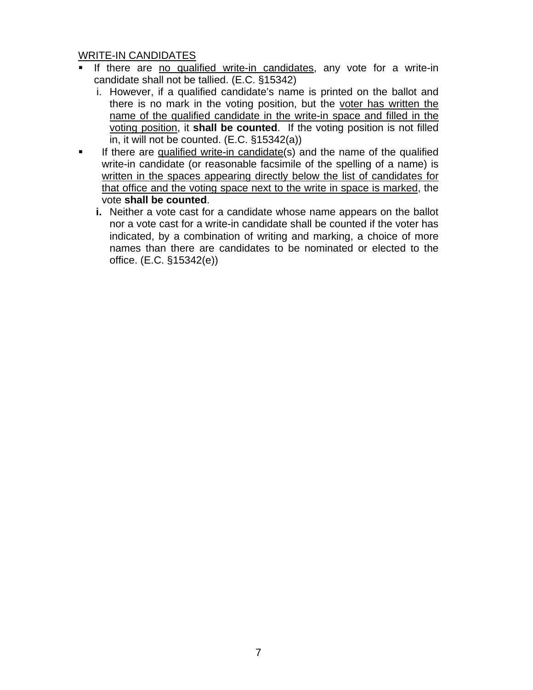#### WRITE-IN CANDIDATES

- If there are no qualified write-in candidates, any vote for a write-in candidate shall not be tallied. (E.C. §15342)
	- i. However, if a qualified candidate's name is printed on the ballot and there is no mark in the voting position, but the voter has written the name of the qualified candidate in the write-in space and filled in the voting position, it **shall be counted**. If the voting position is not filled in, it will not be counted. (E.C. §15342(a))
- If there are qualified write-in candidate(s) and the name of the qualified write-in candidate (or reasonable facsimile of the spelling of a name) is written in the spaces appearing directly below the list of candidates for that office and the voting space next to the write in space is marked, the vote **shall be counted**.
	- **i.** Neither a vote cast for a candidate whose name appears on the ballot nor a vote cast for a write-in candidate shall be counted if the voter has indicated, by a combination of writing and marking, a choice of more names than there are candidates to be nominated or elected to the office. (E.C. §15342(e))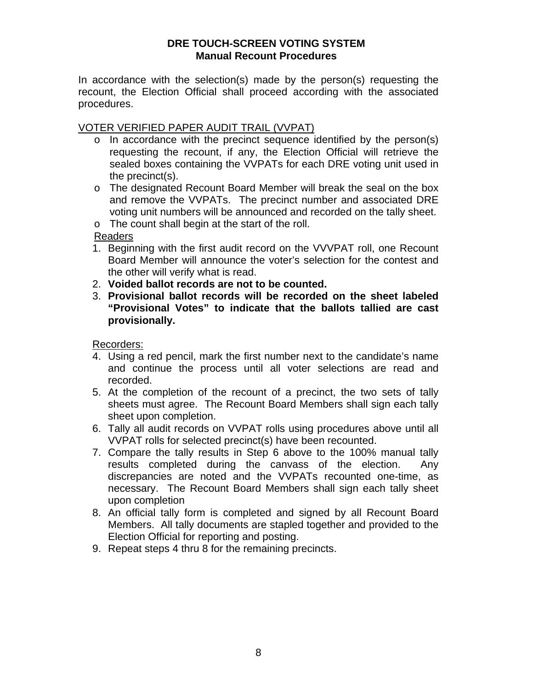## **DRE TOUCH-SCREEN VOTING SYSTEM Manual Recount Procedures**

In accordance with the selection(s) made by the person(s) requesting the recount, the Election Official shall proceed according with the associated procedures.

## VOTER VERIFIED PAPER AUDIT TRAIL (VVPAT)

- o In accordance with the precinct sequence identified by the person(s) requesting the recount, if any, the Election Official will retrieve the sealed boxes containing the VVPATs for each DRE voting unit used in the precinct(s).
- o The designated Recount Board Member will break the seal on the box and remove the VVPATs. The precinct number and associated DRE voting unit numbers will be announced and recorded on the tally sheet.
- o The count shall begin at the start of the roll.

Readers

- 1. Beginning with the first audit record on the VVVPAT roll, one Recount Board Member will announce the voter's selection for the contest and the other will verify what is read.
- 2. **Voided ballot records are not to be counted.**
- 3. **Provisional ballot records will be recorded on the sheet labeled "Provisional Votes" to indicate that the ballots tallied are cast provisionally.**

Recorders:

- 4. Using a red pencil, mark the first number next to the candidate's name and continue the process until all voter selections are read and recorded.
- 5. At the completion of the recount of a precinct, the two sets of tally sheets must agree. The Recount Board Members shall sign each tally sheet upon completion.
- 6. Tally all audit records on VVPAT rolls using procedures above until all VVPAT rolls for selected precinct(s) have been recounted.
- 7. Compare the tally results in Step 6 above to the 100% manual tally results completed during the canvass of the election. Any discrepancies are noted and the VVPATs recounted one-time, as necessary. The Recount Board Members shall sign each tally sheet upon completion
- 8. An official tally form is completed and signed by all Recount Board Members. All tally documents are stapled together and provided to the Election Official for reporting and posting.
- 9. Repeat steps 4 thru 8 for the remaining precincts.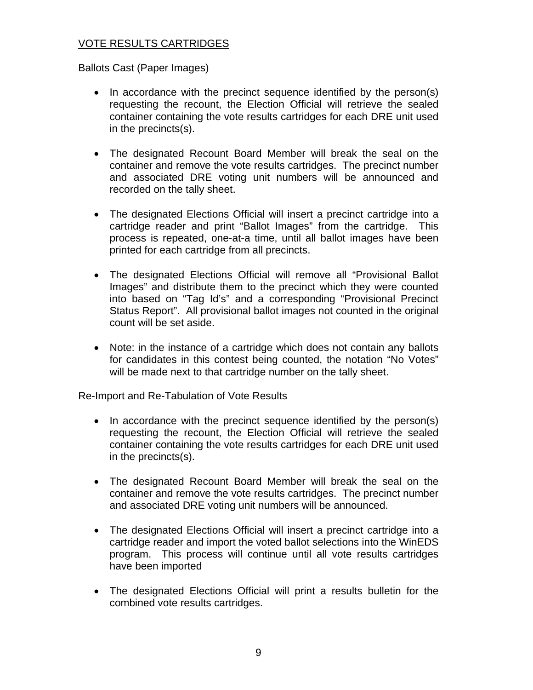## VOTE RESULTS CARTRIDGES

Ballots Cast (Paper Images)

- In accordance with the precinct sequence identified by the person(s) requesting the recount, the Election Official will retrieve the sealed container containing the vote results cartridges for each DRE unit used in the precincts(s).
- The designated Recount Board Member will break the seal on the container and remove the vote results cartridges. The precinct number and associated DRE voting unit numbers will be announced and recorded on the tally sheet.
- The designated Elections Official will insert a precinct cartridge into a cartridge reader and print "Ballot Images" from the cartridge. This process is repeated, one-at-a time, until all ballot images have been printed for each cartridge from all precincts.
- The designated Elections Official will remove all "Provisional Ballot Images" and distribute them to the precinct which they were counted into based on "Tag Id's" and a corresponding "Provisional Precinct Status Report". All provisional ballot images not counted in the original count will be set aside.
- Note: in the instance of a cartridge which does not contain any ballots for candidates in this contest being counted, the notation "No Votes" will be made next to that cartridge number on the tally sheet.

Re-Import and Re-Tabulation of Vote Results

- In accordance with the precinct sequence identified by the person(s) requesting the recount, the Election Official will retrieve the sealed container containing the vote results cartridges for each DRE unit used in the precincts(s).
- The designated Recount Board Member will break the seal on the container and remove the vote results cartridges. The precinct number and associated DRE voting unit numbers will be announced.
- The designated Elections Official will insert a precinct cartridge into a cartridge reader and import the voted ballot selections into the WinEDS program. This process will continue until all vote results cartridges have been imported
- The designated Elections Official will print a results bulletin for the combined vote results cartridges.